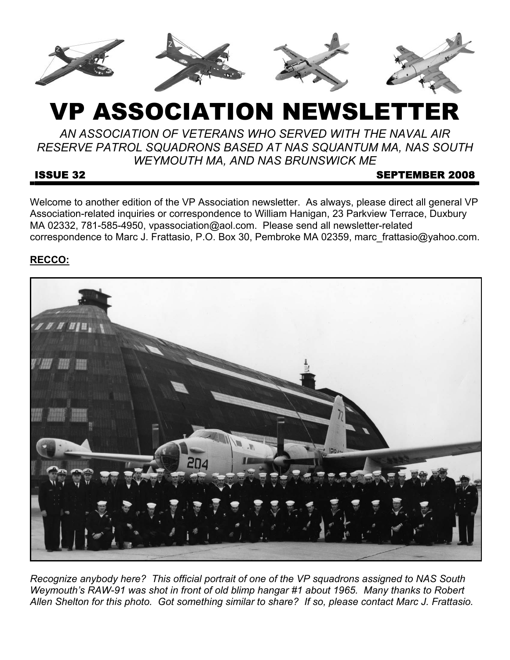

# VP ASSOCIATION NEWSLETT

*AN ASSOCIATION OF VETERANS WHO SERVED WITH THE NAVAL AIR RESERVE PATROL SQUADRONS BASED AT NAS SQUANTUM MA, NAS SOUTH WEYMOUTH MA, AND NAS BRUNSWICK ME* 

#### **ISSUE 32** SEPTEMBER 2008

Welcome to another edition of the VP Association newsletter. As always, please direct all general VP Association-related inquiries or correspondence to William Hanigan, 23 Parkview Terrace, Duxbury MA 02332, 781-585-4950, vpassociation@aol.com. Please send all newsletter-related correspondence to Marc J. Frattasio, P.O. Box 30, Pembroke MA 02359, marc\_frattasio@yahoo.com.

# **RECCO:**



*Recognize anybody here? This official portrait of one of the VP squadrons assigned to NAS South Weymouth's RAW-91 was shot in front of old blimp hangar #1 about 1965. Many thanks to Robert Allen Shelton for this photo. Got something similar to share? If so, please contact Marc J. Frattasio.*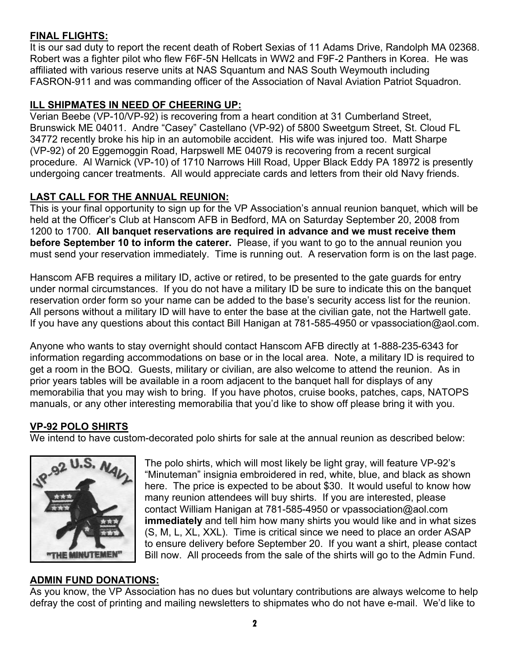# **FINAL FLIGHTS:**

It is our sad duty to report the recent death of Robert Sexias of 11 Adams Drive, Randolph MA 02368. Robert was a fighter pilot who flew F6F-5N Hellcats in WW2 and F9F-2 Panthers in Korea. He was affiliated with various reserve units at NAS Squantum and NAS South Weymouth including FASRON-911 and was commanding officer of the Association of Naval Aviation Patriot Squadron.

# **ILL SHIPMATES IN NEED OF CHEERING UP:**

Verian Beebe (VP-10/VP-92) is recovering from a heart condition at 31 Cumberland Street, Brunswick ME 04011. Andre "Casey" Castellano (VP-92) of 5800 Sweetgum Street, St. Cloud FL 34772 recently broke his hip in an automobile accident. His wife was injured too. Matt Sharpe (VP-92) of 20 Eggemoggin Road, Harpswell ME 04079 is recovering from a recent surgical procedure. Al Warnick (VP-10) of 1710 Narrows Hill Road, Upper Black Eddy PA 18972 is presently undergoing cancer treatments. All would appreciate cards and letters from their old Navy friends.

# **LAST CALL FOR THE ANNUAL REUNION:**

This is your final opportunity to sign up for the VP Association's annual reunion banquet, which will be held at the Officer's Club at Hanscom AFB in Bedford, MA on Saturday September 20, 2008 from 1200 to 1700. **All banquet reservations are required in advance and we must receive them before September 10 to inform the caterer.** Please, if you want to go to the annual reunion you must send your reservation immediately. Time is running out. A reservation form is on the last page.

Hanscom AFB requires a military ID, active or retired, to be presented to the gate guards for entry under normal circumstances. If you do not have a military ID be sure to indicate this on the banquet reservation order form so your name can be added to the base's security access list for the reunion. All persons without a military ID will have to enter the base at the civilian gate, not the Hartwell gate. If you have any questions about this contact Bill Hanigan at 781-585-4950 or vpassociation@aol.com.

Anyone who wants to stay overnight should contact Hanscom AFB directly at 1-888-235-6343 for information regarding accommodations on base or in the local area. Note, a military ID is required to get a room in the BOQ. Guests, military or civilian, are also welcome to attend the reunion. As in prior years tables will be available in a room adjacent to the banquet hall for displays of any memorabilia that you may wish to bring. If you have photos, cruise books, patches, caps, NATOPS manuals, or any other interesting memorabilia that you'd like to show off please bring it with you.

# **VP-92 POLO SHIRTS**

We intend to have custom-decorated polo shirts for sale at the annual reunion as described below:



The polo shirts, which will most likely be light gray, will feature VP-92's "Minuteman" insignia embroidered in red, white, blue, and black as shown here. The price is expected to be about \$30. It would useful to know how many reunion attendees will buy shirts. If you are interested, please contact William Hanigan at 781-585-4950 or vpassociation@aol.com **immediately** and tell him how many shirts you would like and in what sizes (S, M, L, XL, XXL). Time is critical since we need to place an order ASAP to ensure delivery before September 20. If you want a shirt, please contact Bill now. All proceeds from the sale of the shirts will go to the Admin Fund.

# **ADMIN FUND DONATIONS:**

As you know, the VP Association has no dues but voluntary contributions are always welcome to help defray the cost of printing and mailing newsletters to shipmates who do not have e-mail. We'd like to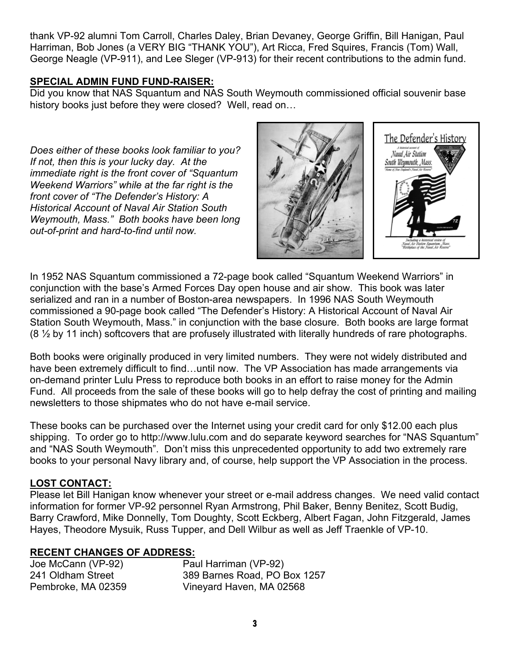thank VP-92 alumni Tom Carroll, Charles Daley, Brian Devaney, George Griffin, Bill Hanigan, Paul Harriman, Bob Jones (a VERY BIG "THANK YOU"), Art Ricca, Fred Squires, Francis (Tom) Wall, George Neagle (VP-911), and Lee Sleger (VP-913) for their recent contributions to the admin fund.

#### **SPECIAL ADMIN FUND FUND-RAISER:**

Did you know that NAS Squantum and NAS South Weymouth commissioned official souvenir base history books just before they were closed? Well, read on…

*Does either of these books look familiar to you? If not, then this is your lucky day. At the immediate right is the front cover of "Squantum Weekend Warriors" while at the far right is the front cover of "The Defender's History: A Historical Account of Naval Air Station South Weymouth, Mass." Both books have been long out-of-print and hard-to-find until now.*



In 1952 NAS Squantum commissioned a 72-page book called "Squantum Weekend Warriors" in conjunction with the base's Armed Forces Day open house and air show. This book was later serialized and ran in a number of Boston-area newspapers. In 1996 NAS South Weymouth commissioned a 90-page book called "The Defender's History: A Historical Account of Naval Air Station South Weymouth, Mass." in conjunction with the base closure. Both books are large format  $(8 \frac{1}{2}$  by 11 inch) softcovers that are profusely illustrated with literally hundreds of rare photographs.

Both books were originally produced in very limited numbers. They were not widely distributed and have been extremely difficult to find...until now. The VP Association has made arrangements via on-demand printer Lulu Press to reproduce both books in an effort to raise money for the Admin Fund. All proceeds from the sale of these books will go to help defray the cost of printing and mailing newsletters to those shipmates who do not have e-mail service.

These books can be purchased over the Internet using your credit card for only \$12.00 each plus shipping. To order go to http://www.lulu.com and do separate keyword searches for "NAS Squantum" and "NAS South Weymouth". Don't miss this unprecedented opportunity to add two extremely rare books to your personal Navy library and, of course, help support the VP Association in the process.

### **LOST CONTACT:**

Please let Bill Hanigan know whenever your street or e-mail address changes. We need valid contact information for former VP-92 personnel Ryan Armstrong, Phil Baker, Benny Benitez, Scott Budig, Barry Crawford, Mike Donnelly, Tom Doughty, Scott Eckberg, Albert Fagan, John Fitzgerald, James Hayes, Theodore Mysuik, Russ Tupper, and Dell Wilbur as well as Jeff Traenkle of VP-10.

### **RECENT CHANGES OF ADDRESS:**

| Joe McCann (VP-92) | Paul Harriman (VP-92)        |
|--------------------|------------------------------|
| 241 Oldham Street  | 389 Barnes Road, PO Box 1257 |
| Pembroke, MA 02359 | Vineyard Haven, MA 02568     |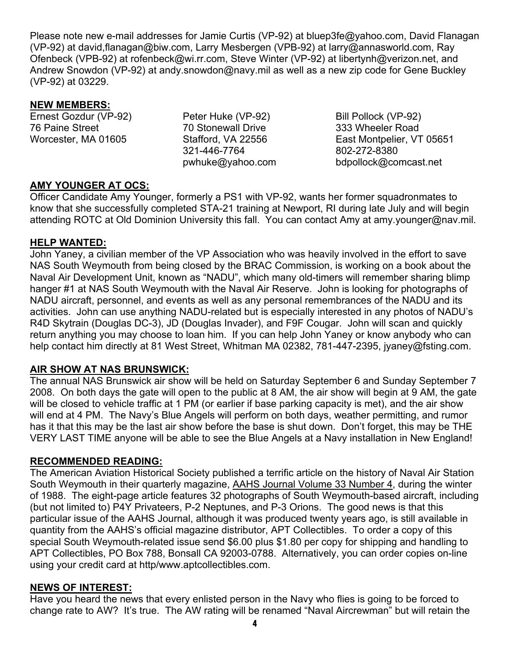Please note new e-mail addresses for Jamie Curtis (VP-92) at bluep3fe@yahoo.com, David Flanagan (VP-92) at david,flanagan@biw.com, Larry Mesbergen (VPB-92) at larry@annasworld.com, Ray Ofenbeck (VPB-92) at rofenbeck@wi.rr.com, Steve Winter (VP-92) at libertynh@verizon.net, and Andrew Snowdon (VP-92) at andy.snowdon@navy.mil as well as a new zip code for Gene Buckley (VP-92) at 03229.

#### **NEW MEMBERS:**

Ernest Gozdur (VP-92) 76 Paine Street Worcester, MA 01605

Peter Huke (VP-92) 70 Stonewall Drive Stafford, VA 22556 321-446-7764 pwhuke@yahoo.com

Bill Pollock (VP-92) 333 Wheeler Road East Montpelier, VT 05651 802-272-8380 bdpollock@comcast.net

## **AMY YOUNGER AT OCS:**

Officer Candidate Amy Younger, formerly a PS1 with VP-92, wants her former squadronmates to know that she successfully completed STA-21 training at Newport, RI during late July and will begin attending ROTC at Old Dominion University this fall. You can contact Amy at amy.younger@nav.mil.

### **HELP WANTED:**

John Yaney, a civilian member of the VP Association who was heavily involved in the effort to save NAS South Weymouth from being closed by the BRAC Commission, is working on a book about the Naval Air Development Unit, known as "NADU", which many old-timers will remember sharing blimp hanger #1 at NAS South Weymouth with the Naval Air Reserve. John is looking for photographs of NADU aircraft, personnel, and events as well as any personal remembrances of the NADU and its activities. John can use anything NADU-related but is especially interested in any photos of NADU's R4D Skytrain (Douglas DC-3), JD (Douglas Invader), and F9F Cougar. John will scan and quickly return anything you may choose to loan him. If you can help John Yaney or know anybody who can help contact him directly at 81 West Street, Whitman MA 02382, 781-447-2395, jyaney@fsting.com.

### **AIR SHOW AT NAS BRUNSWICK:**

The annual NAS Brunswick air show will be held on Saturday September 6 and Sunday September 7 2008. On both days the gate will open to the public at 8 AM, the air show will begin at 9 AM, the gate will be closed to vehicle traffic at 1 PM (or earlier if base parking capacity is met), and the air show will end at 4 PM. The Navy's Blue Angels will perform on both days, weather permitting, and rumor has it that this may be the last air show before the base is shut down. Don't forget, this may be THE VERY LAST TIME anyone will be able to see the Blue Angels at a Navy installation in New England!

#### **RECOMMENDED READING:**

The American Aviation Historical Society published a terrific article on the history of Naval Air Station South Weymouth in their quarterly magazine, AAHS Journal Volume 33 Number 4, during the winter of 1988. The eight-page article features 32 photographs of South Weymouth-based aircraft, including (but not limited to) P4Y Privateers, P-2 Neptunes, and P-3 Orions. The good news is that this particular issue of the AAHS Journal, although it was produced twenty years ago, is still available in quantity from the AAHS's official magazine distributor, APT Collectibles. To order a copy of this special South Weymouth-related issue send \$6.00 plus \$1.80 per copy for shipping and handling to APT Collectibles, PO Box 788, Bonsall CA 92003-0788. Alternatively, you can order copies on-line using your credit card at http/www.aptcollectibles.com.

#### **NEWS OF INTEREST:**

Have you heard the news that every enlisted person in the Navy who flies is going to be forced to change rate to AW? It's true. The AW rating will be renamed "Naval Aircrewman" but will retain the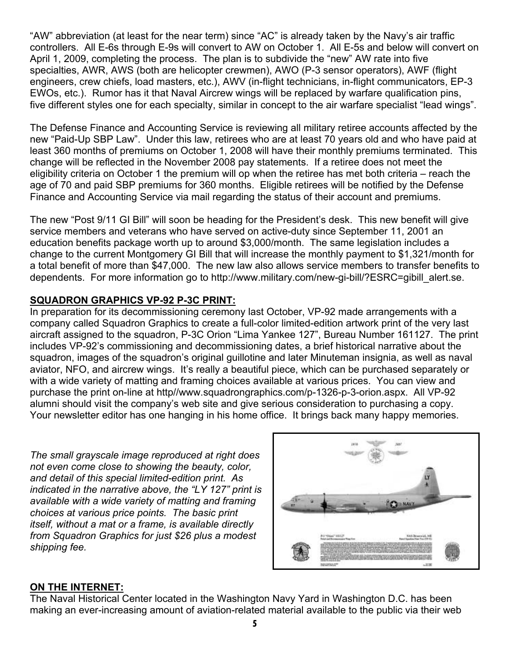"AW" abbreviation (at least for the near term) since "AC" is already taken by the Navy's air traffic controllers. All E-6s through E-9s will convert to AW on October 1. All E-5s and below will convert on April 1, 2009, completing the process. The plan is to subdivide the "new" AW rate into five specialties, AWR, AWS (both are helicopter crewmen), AWO (P-3 sensor operators), AWF (flight engineers, crew chiefs, load masters, etc.), AWV (in-flight technicians, in-flight communicators, EP-3 EWOs, etc.). Rumor has it that Naval Aircrew wings will be replaced by warfare qualification pins, five different styles one for each specialty, similar in concept to the air warfare specialist "lead wings".

The Defense Finance and Accounting Service is reviewing all military retiree accounts affected by the new "Paid-Up SBP Law". Under this law, retirees who are at least 70 years old and who have paid at least 360 months of premiums on October 1, 2008 will have their monthly premiums terminated. This change will be reflected in the November 2008 pay statements. If a retiree does not meet the eligibility criteria on October 1 the premium will op when the retiree has met both criteria – reach the age of 70 and paid SBP premiums for 360 months. Eligible retirees will be notified by the Defense Finance and Accounting Service via mail regarding the status of their account and premiums.

The new "Post 9/11 GI Bill" will soon be heading for the President's desk. This new benefit will give service members and veterans who have served on active-duty since September 11, 2001 an education benefits package worth up to around \$3,000/month. The same legislation includes a change to the current Montgomery GI Bill that will increase the monthly payment to \$1,321/month for a total benefit of more than \$47,000. The new law also allows service members to transfer benefits to dependents. For more information go to http://www.military.com/new-gi-bill/?ESRC=gibill\_alert.se.

### **SQUADRON GRAPHICS VP-92 P-3C PRINT:**

In preparation for its decommissioning ceremony last October, VP-92 made arrangements with a company called Squadron Graphics to create a full-color limited-edition artwork print of the very last aircraft assigned to the squadron, P-3C Orion "Lima Yankee 127", Bureau Number 161127. The print includes VP-92's commissioning and decommissioning dates, a brief historical narrative about the squadron, images of the squadron's original guillotine and later Minuteman insignia, as well as naval aviator, NFO, and aircrew wings. It's really a beautiful piece, which can be purchased separately or with a wide variety of matting and framing choices available at various prices. You can view and purchase the print on-line at http//www.squadrongraphics.com/p-1326-p-3-orion.aspx. All VP-92 alumni should visit the company's web site and give serious consideration to purchasing a copy. Your newsletter editor has one hanging in his home office. It brings back many happy memories.

*The small grayscale image reproduced at right does not even come close to showing the beauty, color, and detail of this special limited-edition print. As indicated in the narrative above, the "LY 127" print is available with a wide variety of matting and framing choices at various price points. The basic print itself, without a mat or a frame, is available directly from Squadron Graphics for just \$26 plus a modest shipping fee.* 



#### **ON THE INTERNET:**

The Naval Historical Center located in the Washington Navy Yard in Washington D.C. has been making an ever-increasing amount of aviation-related material available to the public via their web